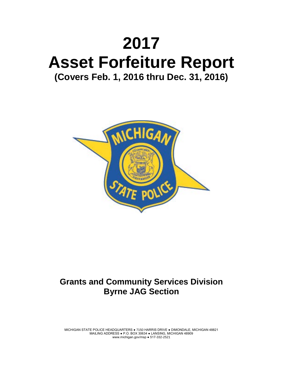# **2017 Asset Forfeiture Report (Covers Feb. 1, 2016 thru Dec. 31, 2016)**



## **Grants and Community Services Division Byrne JAG Section**

MICHIGAN STATE POLICE HEADQUARTERS ● 7150 HARRIS DRIVE ● DIMONDALE, MICHIGAN 48821 MAILING ADDRESS ● P.O. BOX 30634 ● LANSING, MICHIGAN 48909 www.michigan.gov/msp ● 517-332-2521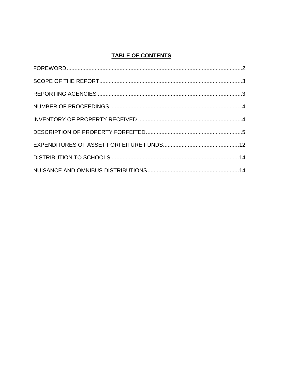### **TABLE OF CONTENTS**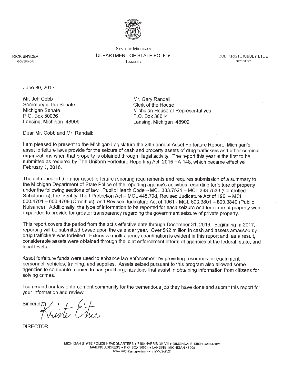

**STATE OF MICHIGAN** DEPARTMENT OF STATE POLICE LANSING

**COL. KRISTE KIBBEY ETUE DIRECTOR** 

**RICK SNYDER** GOVERNOR

June 30, 2017

Mr. Jeff Cobb Secretary of the Senate Michigan Senate P.O. Box 30036 Lansing, Michigan 48909 Mr. Gary Randall Clerk of the House Michigan House of Representatives P.O. Box 30014 Lansing, Michigan 48909

Dear Mr. Cobb and Mr. Randall:

I am pleased to present to the Michigan Legislature the 24th annual Asset Forfeiture Report. Michigan's asset forfeiture laws provide for the seizure of cash and property assets of drug traffickers and other criminal organizations when that property is obtained through illegal activity. The report this year is the first to be submitted as required by The Uniform Forfeiture Reporting Act, 2015 PA 148, which became effective February 1, 2016.

The act repealed the prior asset forfeiture reporting requirements and requires submission of a summary to the Michigan Department of State Police of the reporting agency's activities regarding forfeiture of property under the following sections of law: Public Health Code - MCL 333.7521 - MCL 333.7533 (Controlled Substances), the Identity Theft Protection Act - MCL 445.79d, Revised Judicature Act of 1961-MCL 600.4701 - 600.4709 (Omnibus), and Revised Judicature Act of 1961 - MCL 600.3801 - 600.3840 (Public Nuisance). Additionally, the type of information to be reported for each seizure and forfeiture of property was expanded to provide for greater transparency regarding the government seizure of private property.

This report covers the period from the act's effective date through December 31, 2016. Beginning in 2017, reporting will be submitted based upon the calendar year. Over \$12 million in cash and assets amassed by drug traffickers was forfeited. Extensive multi-agency coordination is evident in this report and, as a result, considerable assets were obtained through the joint enforcement efforts of agencies at the federal, state, and local levels.

Asset forfeiture funds were used to enhance law enforcement by providing resources for equipment, personnel, vehicles, training, and supplies. Assets seized pursuant to this program also allowed some agencies to contribute monies to non-profit organizations that assist in obtaining information from citizens for solving crimes.

I commend our law enforcement community for the tremendous job they have done and submit this report for your information and review.

Kriste Chie. Sincerely

**DIRECTOR**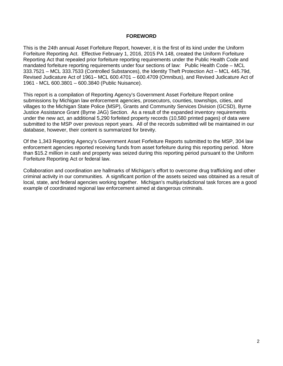#### **FOREWORD**

<span id="page-3-0"></span>This is the 24th annual Asset Forfeiture Report, however, it is the first of its kind under the Uniform Forfeiture Reporting Act. Effective February 1, 2016, 2015 PA 148, created the Uniform Forfeiture Reporting Act that repealed prior forfeiture reporting requirements under the Public Health Code and mandated forfeiture reporting requirements under four sections of law: Public Health Code – MCL 333.7521 – MCL 333.7533 (Controlled Substances), the Identity Theft Protection Act – MCL 445.79d, Revised Judicature Act of 1961– MCL 600.4701 – 600.4709 (Omnibus), and Revised Judicature Act of 1961 - MCL 600.3801 – 600.3840 (Public Nuisance).

This report is a compilation of Reporting Agency's Government Asset Forfeiture Report online submissions by Michigan law enforcement agencies, prosecutors, counties, townships, cities, and villages to the Michigan State Police (MSP), Grants and Community Services Division (GCSD), Byrne Justice Assistance Grant (Byrne JAG) Section. As a result of the expanded inventory requirements under the new act, an additional 5,290 forfeited property records (10,580 printed pages) of data were submitted to the MSP over previous report years. All of the records submitted will be maintained in our database, however, their content is summarized for brevity.

Of the 1,343 Reporting Agency's Government Asset Forfeiture Reports submitted to the MSP, 304 law enforcement agencies reported receiving funds from asset forfeiture during this reporting period. More than \$15.2 million in cash and property was seized during this reporting period pursuant to the Uniform Forfeiture Reporting Act or federal law.

Collaboration and coordination are hallmarks of Michigan's effort to overcome drug trafficking and other criminal activity in our communities. A significant portion of the assets seized was obtained as a result of local, state, and federal agencies working together. Michigan's multijurisdictional task forces are a good example of coordinated regional law enforcement aimed at dangerous criminals.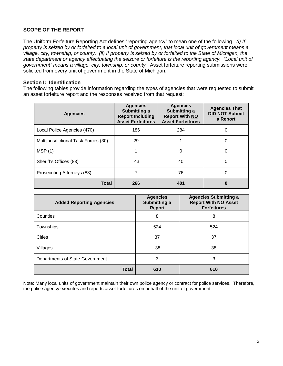#### <span id="page-4-0"></span>**SCOPE OF THE REPORT**

The Uniform Forfeiture Reporting Act defines "reporting agency" to mean one of the following*: (i) If property is seized by or forfeited to a local unit of government, that local unit of government means a village, city, township, or county. (ii) If property is seized by or forfeited to the State of Michigan, the state department or agency effectuating the seizure or forfeiture is the reporting agency. "Local unit of government" means a village, city, township, or county.* Asset forfeiture reporting submissions were solicited from every unit of government in the State of Michigan.

#### **Section I: Identification**

The following tables provide information regarding the types of agencies that were requested to submit an asset forfeiture report and the responses received from that request:

| <b>Agencies</b>                      | <b>Agencies</b><br>Submitting a<br><b>Report Including</b><br><b>Asset Forfeitures</b> | <b>Agencies</b><br>Submitting a<br><b>Report With NO</b><br><b>Asset Forfeitures</b> | <b>Agencies That</b><br><b>DID NOT Submit</b><br>a Report |
|--------------------------------------|----------------------------------------------------------------------------------------|--------------------------------------------------------------------------------------|-----------------------------------------------------------|
| Local Police Agencies (470)          | 186                                                                                    | 284                                                                                  | 0                                                         |
| Multijurisdictional Task Forces (30) | 29                                                                                     |                                                                                      | 0                                                         |
| MSP(1)                               |                                                                                        | 0                                                                                    | 0                                                         |
| Sheriff's Offices (83)               | 43                                                                                     | 40                                                                                   | 0                                                         |
| Prosecuting Attorneys (83)           |                                                                                        | 76                                                                                   | 0                                                         |
| Total                                | 266                                                                                    | 401                                                                                  | O                                                         |

| <b>Added Reporting Agencies</b> | <b>Agencies</b><br>Submitting a<br><b>Report</b> | <b>Agencies Submitting a</b><br><b>Report With NO Asset</b><br><b>Forfeitures</b> |
|---------------------------------|--------------------------------------------------|-----------------------------------------------------------------------------------|
| Counties                        | 8                                                | 8                                                                                 |
| Townships                       | 524                                              | 524                                                                               |
| Cities                          | 37                                               | 37                                                                                |
| Villages                        | 38                                               | 38                                                                                |
| Departments of State Government | 3                                                | 3                                                                                 |
| <b>Total</b>                    | 610                                              | 610                                                                               |

Note: Many local units of government maintain their own police agency or contract for police services.Therefore, the police agency executes and reports asset forfeitures on behalf of the unit of government.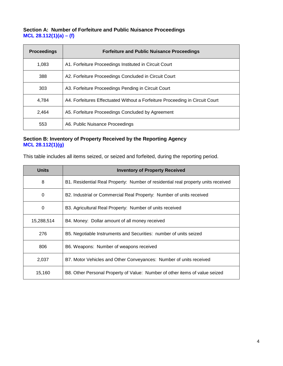#### **Section A: Number of Forfeiture and Public Nuisance Proceedings MCL 28.112(1)(a) – (f)**

| <b>Proceedings</b> | <b>Forfeiture and Public Nuisance Proceedings</b>                            |
|--------------------|------------------------------------------------------------------------------|
| 1,083              | A1. Forfeiture Proceedings Instituted in Circuit Court                       |
| 388                | A2. Forfeiture Proceedings Concluded in Circuit Court                        |
| 303                | A3. Forfeiture Proceedings Pending in Circuit Court                          |
| 4.784              | A4. Forfeitures Effectuated Without a Forfeiture Proceeding in Circuit Court |
| 2,464              | A5. Forfeiture Proceedings Concluded by Agreement                            |
| 553                | A6. Public Nuisance Proceedings                                              |

#### **Section B: Inventory of Property Received by the Reporting Agency MCL 28.112(1)(g)**

This table includes all items seized, or seized and forfeited, during the reporting period.

| <b>Units</b> | <b>Inventory of Property Received</b>                                             |
|--------------|-----------------------------------------------------------------------------------|
| 8            | B1. Residential Real Property: Number of residential real property units received |
| 0            | B2. Industrial or Commercial Real Property: Number of units received              |
| 0            | B3. Agricultural Real Property: Number of units received                          |
| 15,288,514   | B4. Money: Dollar amount of all money received                                    |
| 276          | B5. Negotiable Instruments and Securities: number of units seized                 |
| 806          | B6. Weapons: Number of weapons received                                           |
| 2,037        | B7. Motor Vehicles and Other Conveyances: Number of units received                |
| 15,160       | B8. Other Personal Property of Value: Number of other items of value seized       |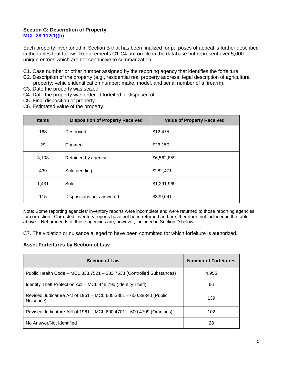#### **Section C: Description of Property MCL 28.112(1)(h)**

Each property inventoried in Section B that has been finalized for purposes of appeal is further described in the tables that follow. Requirements C1-C4 are on file in the database but represent over 5,000 unique entries which are not conducive to summarization.

- C1. Case number or other number assigned by the reporting agency that identifies the forfeiture.
- C2. Description of the property (e.g., residential real property address; legal description of agricultural property; vehicle identification number; make, model, and serial number of a firearm).
- C3. Date the property was seized.
- C4. Date the property was ordered forfeited or disposed of.
- C5. Final disposition of property.
- C6. Estimated value of the property.

| <b>Items</b> | <b>Disposition of Property Received</b> | <b>Value of Property Received</b> |
|--------------|-----------------------------------------|-----------------------------------|
| 168          | Destroyed                               | \$12,475                          |
| 29           | Donated                                 | \$26,150                          |
| 3,108        | Retained by agency                      | \$6,562,859                       |
| 439          | Sale pending                            | \$282,471                         |
| 1,431        | Sold                                    | \$1,291,969                       |
| 115          | Dispositions not answered               | \$339,641                         |

Note: Some reporting agencies' inventory reports were incomplete and were returned to those reporting agencies for correction. Corrected inventory reports have not been returned and are, therefore, not included in the table above. Net proceeds of those agencies are, however, included in Section D below.

C7. The violation or nuisance alleged to have been committed for which forfeiture is authorized.

#### **Asset Forfeitures by Section of Law**

| <b>Section of Law</b>                                                          | <b>Number of Forfeitures</b> |
|--------------------------------------------------------------------------------|------------------------------|
| Public Health Code - MCL 333.7521 - 333.7533 (Controlled Substances)           | 4,955                        |
| Identity Theft Protection Act – MCL 445.79d (Identity Theft)                   | 66                           |
| Revised Judicature Act of 1961 – MCL 600.3801 – 600.38340 (Public<br>Nuisance) | 139                          |
| Revised Judicature Act of 1961 - MCL 600.4701 - 600.4709 (Omnibus)             | 102                          |
| No Answer/Not Identified                                                       | 28                           |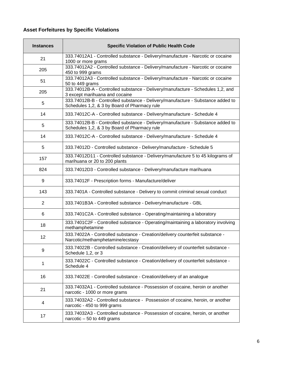## **Asset Forfeitures by Specific Violations**

| <b>Instances</b> | <b>Specific Violation of Public Health Code</b>                                                                                 |
|------------------|---------------------------------------------------------------------------------------------------------------------------------|
| 21               | 333.74012A1 - Controlled substance - Delivery/manufacture - Narcotic or cocaine<br>1000 or more grams                           |
| 205              | 333.74012A2 - Controlled substance - Delivery/manufacture - Narcotic or cocaine<br>450 to 999 grams                             |
| 51               | 333.74012A3 - Controlled substance - Delivery/manufacture - Narcotic or cocaine<br>50 to 449 grams                              |
| 205              | 333.74012B-A - Controlled substance - Delivery/manufacture - Schedules 1,2, and<br>3 except marihuana and cocaine               |
| 5                | 333.74012B-B - Controlled substance - Delivery/manufacture - Substance added to<br>Schedules 1,2, & 3 by Board of Pharmacy rule |
| 14               | 333.74012C-A - Controlled substance - Delivery/manufacture - Schedule 4                                                         |
| 5                | 333.74012B-B - Controlled substance - Delivery/manufacture - Substance added to<br>Schedules 1,2, & 3 by Board of Pharmacy rule |
| 14               | 333.74012C-A - Controlled substance - Delivery/manufacture - Schedule 4                                                         |
| 5                | 333.74012D - Controlled substance - Delivery/manufacture - Schedule 5                                                           |
| 157              | 333.74012D11 - Controlled substance - Delivery/manufacture 5 to 45 kilograms of<br>marihuana or 20 to 200 plants                |
| 824              | 333.74012D3 - Controlled substance - Delivery/manufacture marihuana                                                             |
| 9                | 333.74012F - Prescription forms - Manufacture/deliver                                                                           |
| 143              | 333.7401A - Controlled substance - Delivery to commit criminal sexual conduct                                                   |
| 2                | 333.7401B3A - Controlled substance - Delivery/manufacture - GBL                                                                 |
| 6                | 333.7401C2A - Controlled substance - Operating/maintaining a laboratory                                                         |
| 18               | 333.7401C2F - Controlled substance - Operating/maintaining a laboratory involving<br>methamphetamine                            |
| 12               | 333.74022A - Controlled substance - Creation/delivery counterfeit substance -<br>Narcotic/methamphetamine/ecstasy               |
| 9                | 333.74022B - Controlled substance - Creation/delivery of counterfeit substance -<br>Schedule 1,2, or 3                          |
| 1                | 333.74022C - Controlled substance - Creation/delivery of counterfeit substance -<br>Schedule 4                                  |
| 16               | 333.74022E - Controlled substance - Creation/delivery of an analogue                                                            |
| 21               | 333.74032A1 - Controlled substance - Possession of cocaine, heroin or another<br>narcotic - 1000 or more grams                  |
| 4                | 333.74032A2 - Controlled substance - Possession of cocaine, heroin, or another<br>narcotic - 450 to 999 grams                   |
| 17               | 333.74032A3 - Controlled substance - Possession of cocaine, heroin, or another<br>narcotic $-50$ to 449 grams                   |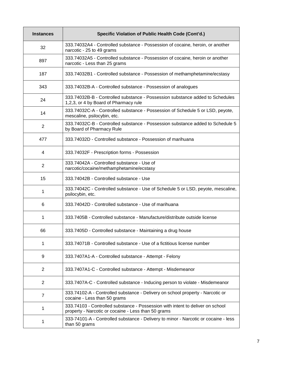| <b>Instances</b> | Specific Violation of Public Health Code (Cont'd.)                                                                                    |
|------------------|---------------------------------------------------------------------------------------------------------------------------------------|
| 32               | 333.74032A4 - Controlled substance - Possession of cocaine, heroin, or another<br>narcotic - 25 to 49 grams                           |
| 897              | 333.74032A5 - Controlled substance - Possession of cocaine, heroin or another<br>narcotic - Less than 25 grams                        |
| 187              | 333.74032B1 - Controlled substance - Possession of methamphetamine/ecstasy                                                            |
| 343              | 333.74032B-A - Controlled substance - Possession of analogues                                                                         |
| 24               | 333.74032B-B - Controlled substance - Possession substance added to Schedules<br>1,2,3, or 4 by Board of Pharmacy rule                |
| 14               | 333.74032C-A - Controlled substance - Possession of Schedule 5 or LSD, peyote,<br>mescaline, psilocybin, etc.                         |
| $\overline{2}$   | 333.74032C-B - Controlled substance - Possession substance added to Schedule 5<br>by Board of Pharmacy Rule                           |
| 477              | 333.74032D - Controlled substance - Possession of marihuana                                                                           |
| 4                | 333.74032F - Prescription forms - Possession                                                                                          |
| 2                | 333.74042A - Controlled substance - Use of<br>narcotic/cocaine/methamphetamine/ecstasy                                                |
| 15               | 333.74042B - Controlled substance - Use                                                                                               |
| 1                | 333.74042C - Controlled substance - Use of Schedule 5 or LSD, peyote, mescaline,<br>psilocybin, etc.                                  |
| 6                | 333.74042D - Controlled substance - Use of marihuana                                                                                  |
| 1                | 333.7405B - Controlled substance - Manufacture/distribute outside license                                                             |
| 66               | 333.7405D - Controlled substance - Maintaining a drug house                                                                           |
| 1                | 333.74071B - Controlled substance - Use of a fictitious license number                                                                |
| 9                | 333.7407A1-A - Controlled substance - Attempt - Felony                                                                                |
| 2                | 333.7407A1-C - Controlled substance - Attempt - Misdemeanor                                                                           |
| $\overline{2}$   | 333.7407A-C - Controlled substance - Inducing person to violate - Misdemeanor                                                         |
| $\overline{7}$   | 333.74102-A - Controlled substance - Delivery on school property - Narcotic or<br>cocaine - Less than 50 grams                        |
| 1                | 333.74103 - Controlled substance - Possession with intent to deliver on school<br>property - Narcotic or cocaine - Less than 50 grams |
| 1                | 333-74101-A - Controlled substance - Delivery to minor - Narcotic or cocaine - less<br>than 50 grams                                  |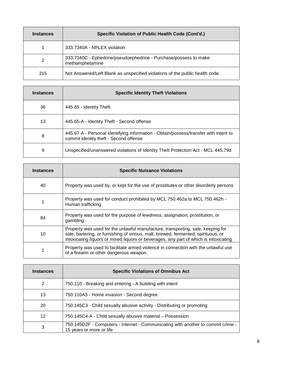| <b>Instances</b> | Specific Violation of Public Health Code (Cont'd.)                                  |
|------------------|-------------------------------------------------------------------------------------|
|                  | 333.7340A - NPLEX violation                                                         |
| 2                | 333.7340C - Ephedrine/pseudoephedrine - Purchase/possess to make<br>methamphetamine |
| 315              | Not Answered/Left Blank as unspecified violations of the public health code.        |

| <b>Instances</b> | <b>Specific Identity Theft Violations</b>                                                                                      |
|------------------|--------------------------------------------------------------------------------------------------------------------------------|
| 36               | 445.65 - Identity Theft                                                                                                        |
| 13               | 445.65-A - Identity Theft - Second offense                                                                                     |
| 8                | 445.67-A - Personal identifying information - Obtain/possess/transfer with intent to<br>commit identity theft - Second offense |
| 9                | Unspecified/unanswered violations of Identity Theft Protection Act - MCL 445.79d                                               |

| <b>Instances</b> | <b>Specific Nuisance Violations</b>                                                                                                                                                                                                                           |
|------------------|---------------------------------------------------------------------------------------------------------------------------------------------------------------------------------------------------------------------------------------------------------------|
| 40               | Property was used by, or kept for the use of prostitutes or other disorderly persons                                                                                                                                                                          |
|                  | Property was used for conduct prohibited by MCL 750.462a to MCL 750.462h -<br>Human trafficking                                                                                                                                                               |
| 84               | Property was used for the purpose of lewdness, assignation, prostitution, or<br>gambling                                                                                                                                                                      |
| 10               | Property was used for the unlawful manufacture, transporting, sale, keeping for<br>sale, bartering, or furnishing of vinous, malt, brewed, fermented, spirituous, or<br>intoxicating liquors or mixed liquors or beverages, any part of which is intoxicating |
| 1                | Property was used to facilitate armed violence in connection with the unlawful use<br>of a firearm or other dangerous weapon.                                                                                                                                 |

| <b>Instances</b> | <b>Specific Violations of Omnibus Act</b>                                                                    |  |
|------------------|--------------------------------------------------------------------------------------------------------------|--|
| 2                | 750.110 - Breaking and entering - A building with intent                                                     |  |
| 13               | 750.110A3 - Home invasion - Second degree                                                                    |  |
| 20               | 750.145C3 - Child sexually abusive activity - Distributing or promoting                                      |  |
| 12               | 750.145C4-A - Child sexually abusive material – Possession                                                   |  |
| 3                | 750.145D2F - Computers - Internet - Communicating with another to commit crime -<br>15 years or more or life |  |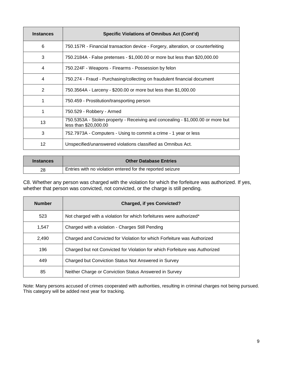| <b>Instances</b> | Specific Violations of Omnibus Act (Cont'd)                                                              |  |
|------------------|----------------------------------------------------------------------------------------------------------|--|
| 6                | 750.157R - Financial transaction device - Forgery, alteration, or counterfeiting                         |  |
| 3                | 750.2184A - False pretenses - \$1,000.00 or more but less than \$20,000.00                               |  |
| 4                | 750.224F - Weapons - Firearms - Possession by felon                                                      |  |
| 4                | 750.274 - Fraud - Purchasing/collecting on fraudulent financial document                                 |  |
| 2                | 750.3564A - Larceny - \$200.00 or more but less than \$1,000.00                                          |  |
| 1                | 750.459 - Prostitution/transporting person                                                               |  |
|                  | 750.529 - Robbery - Armed                                                                                |  |
| 13               | 750.5353A - Stolen property - Receiving and concealing - \$1,000.00 or more but<br>less than \$20,000.00 |  |
| 3                | 752.7973A - Computers - Using to commit a crime - 1 year or less                                         |  |
| 12               | Unspecified/unanswered violations classified as Omnibus Act.                                             |  |

| <b>Instances</b> | <b>Other Database Entries</b>                              |
|------------------|------------------------------------------------------------|
| 28               | Entries with no violation entered for the reported seizure |

C8. Whether any person was charged with the violation for which the forfeiture was authorized. If yes, whether that person was convicted, not convicted, or the charge is still pending.

| <b>Number</b> | <b>Charged, if yes Convicted?</b>                                           |  |
|---------------|-----------------------------------------------------------------------------|--|
| 523           | Not charged with a violation for which forfeitures were authorized*         |  |
| 1,547         | Charged with a violation - Charges Still Pending                            |  |
| 2,490         | Charged and Convicted for Violation for which Forfeiture was Authorized     |  |
| 196           | Charged but not Convicted for Violation for which Forfeiture was Authorized |  |
| 449           | Charged but Conviction Status Not Answered in Survey                        |  |
| 85            | Neither Charge or Conviction Status Answered in Survey                      |  |

Note: Many persons accused of crimes cooperated with authorities, resulting in criminal charges not being pursued. This category will be added next year for tracking.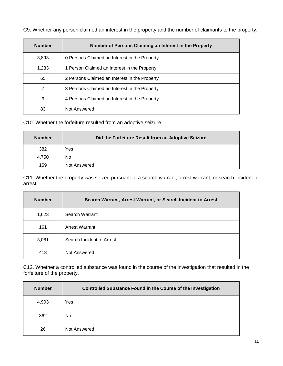|  |  | C9. Whether any person claimed an interest in the property and the number of claimants to the property. |  |  |
|--|--|---------------------------------------------------------------------------------------------------------|--|--|
|  |  |                                                                                                         |  |  |

| <b>Number</b> | Number of Persons Claiming an Interest in the Property |
|---------------|--------------------------------------------------------|
| 3,893         | 0 Persons Claimed an Interest in the Property          |
| 1,233         | 1 Person Claimed an Interest in the Property           |
| 65            | 2 Persons Claimed an Interest in the Property          |
|               | 3 Persons Claimed an Interest in the Property          |
| 9             | 4 Persons Claimed an Interest in the Property          |
| 83            | Not Answered                                           |

C10. Whether the forfeiture resulted from an adoptive seizure.

| <b>Number</b> | Did the Forfeiture Result from an Adoptive Seizure |
|---------------|----------------------------------------------------|
| 382           | Yes                                                |
| 4,750         | No.                                                |
| 159           | Not Answered                                       |

C11. Whether the property was seized pursuant to a search warrant, arrest warrant, or search incident to arrest.

| <b>Number</b> | Search Warrant, Arrest Warrant, or Search Incident to Arrest |  |
|---------------|--------------------------------------------------------------|--|
| 1,623         | Search Warrant                                               |  |
| 161           | <b>Arrest Warrant</b>                                        |  |
| 3,081         | Search Incident to Arrest                                    |  |
| 418           | Not Answered                                                 |  |

C12. Whether a controlled substance was found in the course of the investigation that resulted in the forfeiture of the property.

| <b>Number</b> | <b>Controlled Substance Found in the Course of the Investigation</b> |  |
|---------------|----------------------------------------------------------------------|--|
| 4,903         | Yes                                                                  |  |
| 362           | No.                                                                  |  |
| 26            | Not Answered                                                         |  |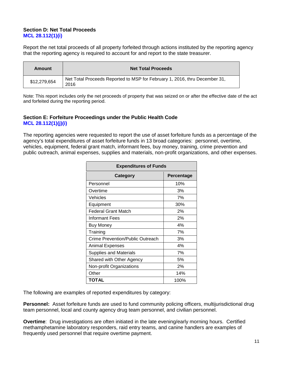#### **Section D: Net Total Proceeds MCL 28.112(1)(i)**

Report the net total proceeds of all property forfeited through actions instituted by the reporting agency that the reporting agency is required to account for and report to the state treasurer.

| Amount       | <b>Net Total Proceeds</b>                                                          |  |
|--------------|------------------------------------------------------------------------------------|--|
| \$12,279,654 | Net Total Proceeds Reported to MSP for February 1, 2016, thru December 31,<br>2016 |  |

Note: This report includes only the net proceeds of property that was seized on or after the effective date of the act and forfeited during the reporting period.

#### **Section E: Forfeiture Proceedings under the Public Health Code MCL 28.112(1)(j)(i)**

The reporting agencies were requested to report the use of asset forfeiture funds as a percentage of the agency's total expenditures of asset forfeiture funds in 13 broad categories: personnel, overtime, vehicles, equipment, federal grant match, informant fees, buy money, training, crime prevention and public outreach, animal expenses, supplies and materials, non-profit organizations, and other expenses.

| <b>Expenditures of Funds</b>     |            |  |
|----------------------------------|------------|--|
| <b>Category</b>                  | Percentage |  |
| Personnel                        | 10%        |  |
| Overtime                         | 3%         |  |
| Vehicles                         | 7%         |  |
| Equipment                        | 30%        |  |
| <b>Federal Grant Match</b>       | 2%         |  |
| Informant Fees                   | 2%         |  |
| <b>Buy Money</b>                 | 4%         |  |
| Training                         | 7%         |  |
| Crime Prevention/Public Outreach | 3%         |  |
| Animal Expenses                  | 4%         |  |
| <b>Supplies and Materials</b>    | 7%         |  |
| Shared with Other Agency         | 5%         |  |
| Non-profit Organizations         | 2%         |  |
| Other                            | 14%        |  |
| <b>TOTAL</b>                     | 100%       |  |

The following are examples of reported expenditures by category:

**Personnel:** Asset forfeiture funds are used to fund community policing officers, multijurisdictional drug team personnel, local and county agency drug team personnel, and civilian personnel.

**Overtime**: Drug investigations are often initiated in the late evening/early morning hours. Certified methamphetamine laboratory responders, raid entry teams, and canine handlers are examples of frequently used personnel that require overtime payment.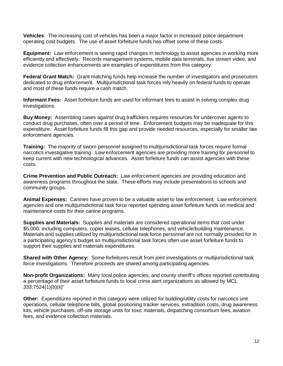**Vehicles**: The increasing cost of vehicles has been a major factor in increased police department operating cost budgets. The use of asset forfeiture funds has offset some of these costs.

**Equipment:** Law enforcement is seeing rapid changes in technology to assist agencies in working more efficiently and effectively. Records management systems, mobile data terminals, live stream video, and evidence collection enhancements are examples of expenditures from this category.

**Federal Grant Match:** Grant matching funds help increase the number of investigators and prosecutors dedicated to drug enforcement. Multijurisdictional task forces rely heavily on federal funds to operate and most of these funds require a cash match.

**Informant Fees:** Asset forfeiture funds are used for informant fees to assist in solving complex drug investigations.

**Buy Money:** Assembling cases against drug traffickers requires resources for undercover agents to conduct drug purchases, often over a period of time. Enforcement budgets may be inadequate for this expenditure. Asset forfeiture funds fill this gap and provide needed resources, especially for smaller law enforcement agencies.

**Training:** The majority of sworn personnel assigned to multijurisdictional task forces require formal narcotics investigative training. Law enforcement agencies are providing more training for personnel to keep current with new technological advances. Asset forfeiture funds can assist agencies with these costs.

**Crime Prevention and Public Outreach:** Law enforcement agencies are providing education and awareness programs throughout the state. These efforts may include presentations to schools and community groups.

**Animal Expenses:** Canines have proven to be a valuable asset to law enforcement. Law enforcement agencies and one multijurisdictional task force reported spending asset forfeiture funds on medical and maintenance costs for their canine programs.

**Supplies and Materials:** Supplies and materials are considered operational items that cost under \$5,000, including computers, copier leases, cellular telephones, and vehicle/building maintenance. Materials and supplies utilized by multijurisdictional task force personnel are not normally provided for in a participating agency's budget so multijurisdictional task forces often use asset forfeiture funds to support their supplies and materials expenditures.

**Shared with Other Agency:** Some forfeitures result from joint investigations or multijurisdictional task force investigations. Therefore proceeds are shared among participating agencies.

**Non-profit Organizations:** Many local police agencies, and county sheriff's offices reported contributing a percentage of their asset forfeiture funds to local crime alert organizations as allowed by MCL 333.7524(1)(b)(ii)"

**Other:** Expenditures reported in this category were utilized for building/utility costs for narcotics unit operations, cellular telephone bills, global positioning tracker services, extradition costs, drug awareness kits, vehicle purchases, off-site storage units for toxic materials, dispatching consortium fees, aviation fees, and evidence collection materials.